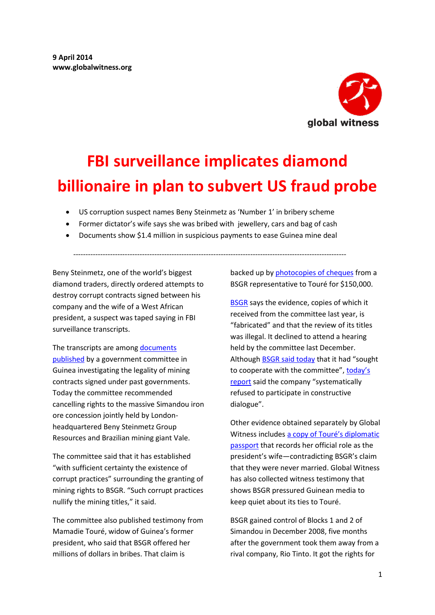

# **FBI surveillance implicates diamond billionaire in plan to subvert US fraud probe**

- US corruption suspect names Beny Steinmetz as 'Number 1' in bribery scheme
- Former dictator's wife says she was bribed with jewellery, cars and bag of cash
- Documents show \$1.4 million in suspicious payments to ease Guinea mine deal

---------------------------------------------------------------------------------------------------------------

Beny Steinmetz, one of the world's biggest diamond traders, directly ordered attempts to destroy corrupt contracts signed between his company and the wife of a West African president, a suspect was taped saying in FBI surveillance transcripts.

The transcripts are among documents [published](http://www.contratsminiersguinee.org/blog/publication-report-recommendation-VBG.html) by a government committee in Guinea investigating the legality of mining contracts signed under past governments. Today the committee recommended cancelling rights to the massive Simandou iron ore concession jointly held by Londonheadquartered Beny Steinmetz Group Resources and Brazilian mining giant Vale.

The committee said that it has established "with sufficient certainty the existence of corrupt practices" surrounding the granting of mining rights to BSGR. "Such corrupt practices nullify the mining titles," it said.

The committee also published testimony from Mamadie Touré, widow of Guinea's former president, who said that BSGR offered her millions of dollars in bribes. That claim is

backed up by [photocopies of cheques](https://www.documentcloud.org/documents/1105515-copie-des-cheques-signes-par-frederic-cilins-a.html) from a BSGR representative to Touré for \$150,000.

[BSGR](http://www.bsgresources.com/media/government-of-guinea-publishes-report-based-on-false-allegations/) says the evidence, copies of which it received from the committee last year, is "fabricated" and that the review of its titles was illegal. It declined to attend a hearing held by the committee last December. Althoug[h BSGR said today](http://www.bsgresources.com/media/government-of-guinea-publishes-report-based-on-false-allegations/) that it had "sought to cooperate with the committee", today's [report](https://www.documentcloud.org/documents/1105545-titres-vbg-rapport-du-comite-technique-au-comite.html) said the company "systematically refused to participate in constructive dialogue".

Other evidence obtained separately by Global Witness includes [a copy of Touré's diplomatic](http://www.globalwitness.org/sites/default/files/library/Mamadie%20diplomatic%20passport.jpg)  [passport](http://www.globalwitness.org/sites/default/files/library/Mamadie%20diplomatic%20passport.jpg) that records her official role as the president's wife—contradicting BSGR's claim that they were never married. Global Witness has also collected witness testimony that shows BSGR pressured Guinean media to keep quiet about its ties to Touré.

BSGR gained control of Blocks 1 and 2 of Simandou in December 2008, five months after the government took them away from a rival company, Rio Tinto. It got the rights for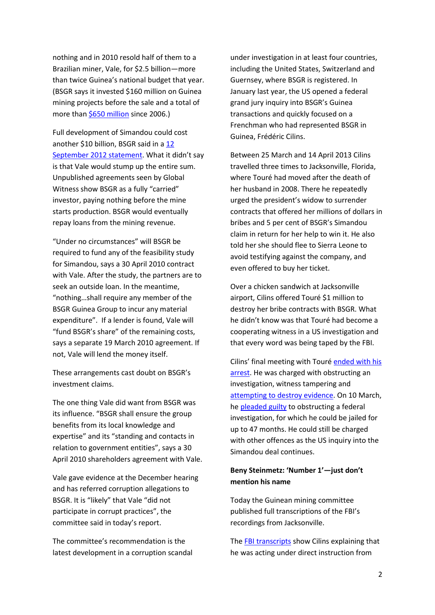nothing and in 2010 resold half of them to a Brazilian miner, Vale, for \$2.5 billion—more than twice Guinea's national budget that year. (BSGR says it invested \$160 million on Guinea mining projects before the sale and a total of more tha[n \\$650 million](http://www.globalwitness.org/sites/default/files/library/Screenshot%20BSGR%20650m%209%20April%2013.pdf) since 2006.)

Full development of Simandou could cost another \$10 billion, BSGR said in a [12](http://www.globalwitness.org/sites/default/files/library/BSGR%2012%20Sept%202012%20statement%2C%209%20April%202013.pdf)  [September 2012 statement](http://www.globalwitness.org/sites/default/files/library/BSGR%2012%20Sept%202012%20statement%2C%209%20April%202013.pdf). What it didn't say is that Vale would stump up the entire sum. Unpublished agreements seen by Global Witness show BSGR as a fully "carried" investor, paying nothing before the mine starts production. BSGR would eventually repay loans from the mining revenue.

"Under no circumstances" will BSGR be required to fund any of the feasibility study for Simandou, says a 30 April 2010 contract with Vale. After the study, the partners are to seek an outside loan. In the meantime, "nothing…shall require any member of the BSGR Guinea Group to incur any material expenditure". If a lender is found, Vale will "fund BSGR's share" of the remaining costs, says a separate 19 March 2010 agreement. If not, Vale will lend the money itself.

These arrangements cast doubt on BSGR's investment claims.

The one thing Vale did want from BSGR was its influence. "BSGR shall ensure the group benefits from its local knowledge and expertise" and its "standing and contacts in relation to government entities", says a 30 April 2010 shareholders agreement with Vale.

Vale gave evidence at the December hearing and has referred corruption allegations to BSGR. It is "likely" that Vale "did not participate in corrupt practices", the committee said in today's report.

The committee's recommendation is the latest development in a corruption scandal under investigation in at least four countries, including the United States, Switzerland and Guernsey, where BSGR is registered. In January last year, the US opened a federal grand jury inquiry into BSGR's Guinea transactions and quickly focused on a Frenchman who had represented BSGR in Guinea, Frédéric Cilins.

Between 25 March and 14 April 2013 Cilins travelled three times to Jacksonville, Florida, where Touré had moved after the death of her husband in 2008. There he repeatedly urged the president's widow to surrender contracts that offered her millions of dollars in bribes and 5 per cent of BSGR's Simandou claim in return for her help to win it. He also told her she should flee to Sierra Leone to avoid testifying against the company, and even offered to buy her ticket.

Over a chicken sandwich at Jacksonville airport, Cilins offered Touré \$1 million to destroy her bribe contracts with BSGR. What he didn't know was that Touré had become a cooperating witness in a US investigation and that every word was being taped by the FBI.

Cilins' final meeting with Touré [ended with his](http://www.globalwitness.org/library/corruption-arrest-us-puts-beny-steinmetz-group-resources-frame)  [arrest.](http://www.globalwitness.org/library/corruption-arrest-us-puts-beny-steinmetz-group-resources-frame) He was charged with obstructing an investigation, witness tampering and [attempting to destroy evidence.](http://www.justice.gov/opa/pr/2013/April/13-crm-429.html) On 10 March, he [pleaded guilty](http://www.justice.gov/usao/nys/pressreleases/March14/CilinspleaPR.php) to obstructing a federal investigation, for which he could be jailed for up to 47 months. He could still be charged with other offences as the US inquiry into the Simandou deal continues.

# **Beny Steinmetz: 'Number 1'—just don't mention his name**

Today the Guinean mining committee published full transcriptions of the FBI's recordings from Jacksonville.

Th[e FBI transcripts](https://www.documentcloud.org/documents/1105519-transcription-enregistrement-audio-frederic.html) show Cilins explaining that he was acting under direct instruction from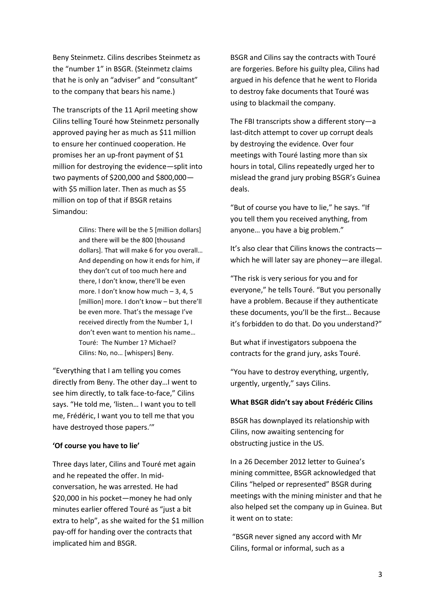Beny Steinmetz. Cilins describes Steinmetz as the "number 1" in BSGR. (Steinmetz claims that he is only an "adviser" and "consultant" to the company that bears his name.)

The transcripts of the 11 April meeting show Cilins telling Touré how Steinmetz personally approved paying her as much as \$11 million to ensure her continued cooperation. He promises her an up-front payment of \$1 million for destroying the evidence—split into two payments of \$200,000 and \$800,000 with \$5 million later. Then as much as \$5 million on top of that if BSGR retains Simandou:

> Cilins: There will be the 5 [million dollars] and there will be the 800 [thousand dollars]. That will make 6 for you overall… And depending on how it ends for him, if they don't cut of too much here and there, I don't know, there'll be even more. I don't know how much – 3, 4, 5 [million] more. I don't know – but there'll be even more. That's the message I've received directly from the Number 1, I don't even want to mention his name… Touré: The Number 1? Michael? Cilins: No, no… [whispers] Beny.

"Everything that I am telling you comes directly from Beny. The other day…I went to see him directly, to talk face-to-face," Cilins says. "He told me, 'listen… I want you to tell me, Frédéric, I want you to tell me that you have destroyed those papers.'"

## **'Of course you have to lie'**

Three days later, Cilins and Touré met again and he repeated the offer. In midconversation, he was arrested. He had \$20,000 in his pocket—money he had only minutes earlier offered Touré as "just a bit extra to help", as she waited for the \$1 million pay-off for handing over the contracts that implicated him and BSGR.

BSGR and Cilins say the contracts with Touré are forgeries. Before his guilty plea, Cilins had argued in his defence that he went to Florida to destroy fake documents that Touré was using to blackmail the company.

The FBI transcripts show a different story—a last-ditch attempt to cover up corrupt deals by destroying the evidence. Over four meetings with Touré lasting more than six hours in total, Cilins repeatedly urged her to mislead the grand jury probing BSGR's Guinea deals.

"But of course you have to lie," he says. "If you tell them you received anything, from anyone… you have a big problem."

It's also clear that Cilins knows the contracts which he will later say are phoney—are illegal.

"The risk is very serious for you and for everyone," he tells Touré. "But you personally have a problem. Because if they authenticate these documents, you'll be the first… Because it's forbidden to do that. Do you understand?"

But what if investigators subpoena the contracts for the grand jury, asks Touré.

"You have to destroy everything, urgently, urgently, urgently," says Cilins.

## **What BSGR didn't say about Frédéric Cilins**

BSGR has downplayed its relationship with Cilins, now awaiting sentencing for obstructing justice in the US.

In a 26 December 2012 letter to Guinea's mining committee, BSGR acknowledged that Cilins "helped or represented" BSGR during meetings with the mining minister and that he also helped set the company up in Guinea. But it went on to state:

"BSGR never signed any accord with Mr Cilins, formal or informal, such as a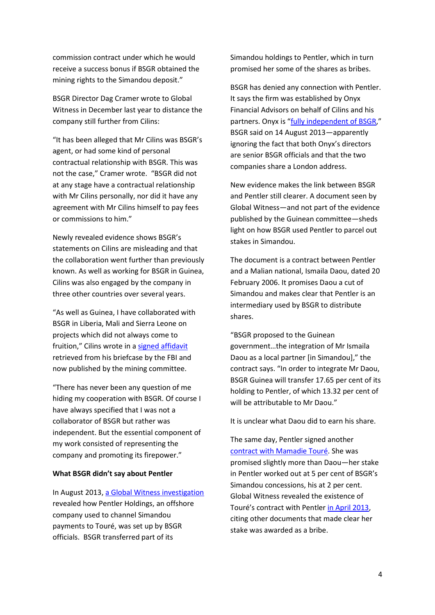commission contract under which he would receive a success bonus if BSGR obtained the mining rights to the Simandou deposit."

BSGR Director Dag Cramer wrote to Global Witness in December last year to distance the company still further from Cilins:

"It has been alleged that Mr Cilins was BSGR's agent, or had some kind of personal contractual relationship with BSGR. This was not the case," Cramer wrote. "BSGR did not at any stage have a contractual relationship with Mr Cilins personally, nor did it have any agreement with Mr Cilins himself to pay fees or commissions to him."

Newly revealed evidence shows BSGR's statements on Cilins are misleading and that the collaboration went further than previously known. As well as working for BSGR in Guinea, Cilins was also engaged by the company in three other countries over several years.

"As well as Guinea, I have collaborated with BSGR in Liberia, Mali and Sierra Leone on projects which did not always come to fruition," Cilins wrote in a [signed affidavit](https://www.documentcloud.org/documents/1105517-attestation-de-frederic-cilins-du-26-novembre-2012.html) retrieved from his briefcase by the FBI and now published by the mining committee.

"There has never been any question of me hiding my cooperation with BSGR. Of course I have always specified that I was not a collaborator of BSGR but rather was independent. But the essential component of my work consisted of representing the company and promoting its firepower."

## **What BSGR didn't say about Pentler**

In August 2013, [a Global Witness investigation](http://www.globalwitness.org/sites/default/files/New%20evidence%20ties%20BSGR%20to%20company%20behind%20Guinea%20mine%20bribery_2.pdf) revealed how Pentler Holdings, an offshore company used to channel Simandou payments to Touré, was set up by BSGR officials. BSGR transferred part of its

Simandou holdings to Pentler, which in turn promised her some of the shares as bribes.

BSGR has denied any connection with Pentler. It says the firm was established by Onyx Financial Advisors on behalf of Cilins and his partners. Onyx is "[fully independent of BSGR](http://www.theguardian.com/world/2013/aug/29/swiss-french-police-raids-linked-beny-steinmetz)," BSGR said on 14 August 2013—apparently ignoring the fact that both Onyx's directors are senior BSGR officials and that the two companies share a London address.

New evidence makes the link between BSGR and Pentler still clearer. A document seen by Global Witness—and not part of the evidence published by the Guinean committee—sheds light on how BSGR used Pentler to parcel out stakes in Simandou.

The document is a contract between Pentler and a Malian national, Ismaila Daou, dated 20 February 2006. It promises Daou a cut of Simandou and makes clear that Pentler is an intermediary used by BSGR to distribute shares.

"BSGR proposed to the Guinean government…the integration of Mr Ismaila Daou as a local partner [in Simandou]," the contract says. "In order to integrate Mr Daou, BSGR Guinea will transfer 17.65 per cent of its holding to Pentler, of which 13.32 per cent of will be attributable to Mr Daou."

It is unclear what Daou did to earn his share.

The same day, Pentler signed another [contract with Mamadie Touré.](https://www.documentcloud.org/documents/1105511-protocole-daccord-pentler-et-mamadie-toure.html) She was promised slightly more than Daou—her stake in Pentler worked out at 5 per cent of BSGR's Simandou concessions, his at 2 per cent. Global Witness revealed the existence of Touré's contract with Pentler [in April 2013,](http://www.globalwitness.org/library/damning-video-and-contracts-show-bsgr-was-lying-guinea-mining-scandal) citing other documents that made clear her stake was awarded as a bribe.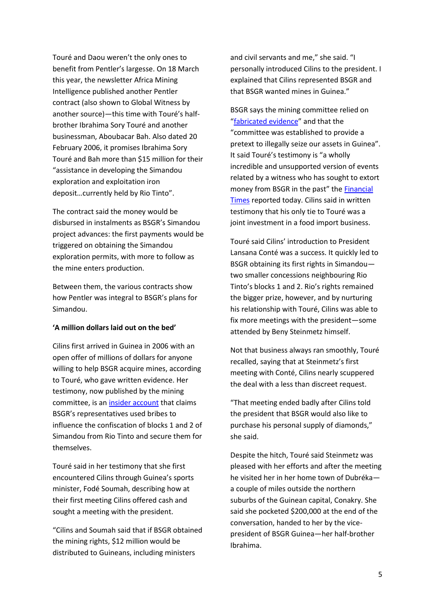Touré and Daou weren't the only ones to benefit from Pentler's largesse. On 18 March this year, the newsletter Africa Mining Intelligence published another Pentler contract (also shown to Global Witness by another source)—this time with Touré's halfbrother Ibrahima Sory Touré and another businessman, Aboubacar Bah. Also dated 20 February 2006, it promises Ibrahima Sory Touré and Bah more than \$15 million for their "assistance in developing the Simandou exploration and exploitation iron deposit…currently held by Rio Tinto".

The contract said the money would be disbursed in instalments as BSGR's Simandou project advances: the first payments would be triggered on obtaining the Simandou exploration permits, with more to follow as the mine enters production.

Between them, the various contracts show how Pentler was integral to BSGR's plans for Simandou.

## **'A million dollars laid out on the bed'**

Cilins first arrived in Guinea in 2006 with an open offer of millions of dollars for anyone willing to help BSGR acquire mines, according to Touré, who gave written evidence. Her testimony, now published by the mining committee, is an [insider account](https://www.documentcloud.org/documents/1105518-declaration-de-mamadie-toure-et-pieces-jointes.html) that claims BSGR's representatives used bribes to influence the confiscation of blocks 1 and 2 of Simandou from Rio Tinto and secure them for themselves.

Touré said in her testimony that she first encountered Cilins through Guinea's sports minister, Fodé Soumah, describing how at their first meeting Cilins offered cash and sought a meeting with the president.

"Cilins and Soumah said that if BSGR obtained the mining rights, \$12 million would be distributed to Guineans, including ministers

and civil servants and me," she said. "I personally introduced Cilins to the president. I explained that Cilins represented BSGR and that BSGR wanted mines in Guinea."

BSGR says the mining committee relied on "[fabricated evidence](http://www.bloomberg.com/news/2014-02-11/guinea-completes-review-of-billionaire-steinmetz-s-mine.html)" and that the "committee was established to provide a pretext to illegally seize our assets in Guinea". It said Touré's testimony is "a wholly incredible and unsupported version of events related by a witness who has sought to extort money from BSGR in the past" the [Financial](http://www.ft.com/cms/s/0/be0d00bc-bfc3-11e3-9513-00144feabdc0.html#axzz2yO00a3Qt)  [Times](http://www.ft.com/cms/s/0/be0d00bc-bfc3-11e3-9513-00144feabdc0.html#axzz2yO00a3Qt) reported today. Cilins said in written testimony that his only tie to Touré was a joint investment in a food import business.

Touré said Cilins' introduction to President Lansana Conté was a success. It quickly led to BSGR obtaining its first rights in Simandou two smaller concessions neighbouring Rio Tinto's blocks 1 and 2. Rio's rights remained the bigger prize, however, and by nurturing his relationship with Touré, Cilins was able to fix more meetings with the president—some attended by Beny Steinmetz himself.

Not that business always ran smoothly, Touré recalled, saying that at Steinmetz's first meeting with Conté, Cilins nearly scuppered the deal with a less than discreet request.

"That meeting ended badly after Cilins told the president that BSGR would also like to purchase his personal supply of diamonds," she said.

Despite the hitch, Touré said Steinmetz was pleased with her efforts and after the meeting he visited her in her home town of Dubréka a couple of miles outside the northern suburbs of the Guinean capital, Conakry. She said she pocketed \$200,000 at the end of the conversation, handed to her by the vicepresident of BSGR Guinea—her half-brother Ibrahima.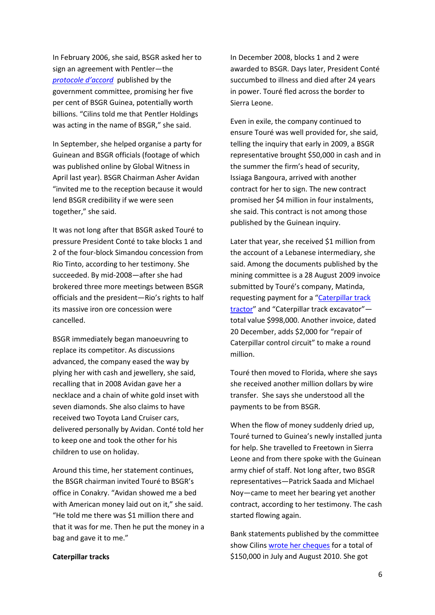In February 2006, she said, BSGR asked her to sign an agreement with Pentler—the *[protocole d'accord](https://www.documentcloud.org/documents/1105511-protocole-daccord-pentler-et-mamadie-toure.html)* published by the government committee, promising her five per cent of BSGR Guinea, potentially worth billions. "Cilins told me that Pentler Holdings was acting in the name of BSGR," she said.

In September, she helped organise a party for Guinean and BSGR officials (footage of which was published online by Global Witness in April last year). BSGR Chairman Asher Avidan "invited me to the reception because it would lend BSGR credibility if we were seen together," she said.

It was not long after that BSGR asked Touré to pressure President Conté to take blocks 1 and 2 of the four-block Simandou concession from Rio Tinto, according to her testimony. She succeeded. By mid-2008—after she had brokered three more meetings between BSGR officials and the president—Rio's rights to half its massive iron ore concession were cancelled.

BSGR immediately began manoeuvring to replace its competitor. As discussions advanced, the company eased the way by plying her with cash and jewellery, she said, recalling that in 2008 Avidan gave her a necklace and a chain of white gold inset with seven diamonds. She also claims to have received two Toyota Land Cruiser cars, delivered personally by Avidan. Conté told her to keep one and took the other for his children to use on holiday.

Around this time, her statement continues, the BSGR chairman invited Touré to BSGR's office in Conakry. "Avidan showed me a bed with American money laid out on it," she said. "He told me there was \$1 million there and that it was for me. Then he put the money in a bag and gave it to me."

## **Caterpillar tracks**

In December 2008, blocks 1 and 2 were awarded to BSGR. Days later, President Conté succumbed to illness and died after 24 years in power. Touré fled across the border to Sierra Leone.

Even in exile, the company continued to ensure Touré was well provided for, she said, telling the inquiry that early in 2009, a BSGR representative brought \$50,000 in cash and in the summer the firm's head of security, Issiaga Bangoura, arrived with another contract for her to sign. The new contract promised her \$4 million in four instalments, she said. This contract is not among those published by the Guinean inquiry.

Later that year, she received \$1 million from the account of a Lebanese intermediary, she said. Among the documents published by the mining committee is a 28 August 2009 invoice submitted by Touré's company, Matinda, requesting payment for a "[Caterpillar track](https://www.documentcloud.org/documents/1105512-factures-de-matinda-co.html)  [tractor](https://www.documentcloud.org/documents/1105512-factures-de-matinda-co.html)" and "Caterpillar track excavator" total value \$998,000. Another invoice, dated 20 December, adds \$2,000 for "repair of Caterpillar control circuit" to make a round million.

Touré then moved to Florida, where she says she received another million dollars by wire transfer. She says she understood all the payments to be from BSGR.

When the flow of money suddenly dried up, Touré turned to Guinea's newly installed junta for help. She travelled to Freetown in Sierra Leone and from there spoke with the Guinean army chief of staff. Not long after, two BSGR representatives—Patrick Saada and Michael Noy—came to meet her bearing yet another contract, according to her testimony. The cash started flowing again.

Bank statements published by the committee show Cilin[s wrote her cheques](https://www.documentcloud.org/documents/1105515-copie-des-cheques-signes-par-frederic-cilins-a.html) for a total of \$150,000 in July and August 2010. She got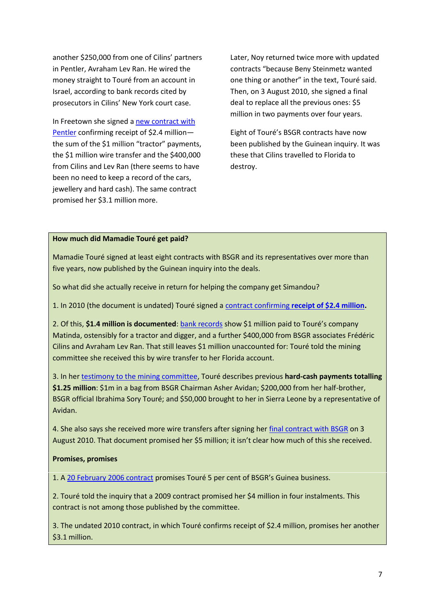another \$250,000 from one of Cilins' partners in Pentler, Avraham Lev Ran. He wired the money straight to Touré from an account in Israel, according to bank records cited by prosecutors in Cilins' New York court case.

In Freetown she signed a [new contract with](https://www.documentcloud.org/documents/1105504-contrat-et-declaration-signes-pentler-et-mamadie.html)  [Pentler](https://www.documentcloud.org/documents/1105504-contrat-et-declaration-signes-pentler-et-mamadie.html) confirming receipt of \$2.4 million the sum of the \$1 million "tractor" payments, the \$1 million wire transfer and the \$400,000 from Cilins and Lev Ran (there seems to have been no need to keep a record of the cars, jewellery and hard cash). The same contract promised her \$3.1 million more.

Later, Noy returned twice more with updated contracts "because Beny Steinmetz wanted one thing or another" in the text, Touré said. Then, on 3 August 2010, she signed a final deal to replace all the previous ones: \$5 million in two payments over four years.

Eight of Touré's BSGR contracts have now been published by the Guinean inquiry. It was these that Cilins travelled to Florida to destroy.

# **How much did Mamadie Touré get paid?**

Mamadie Touré signed at least eight contracts with BSGR and its representatives over more than five years, now published by the Guinean inquiry into the deals.

So what did she actually receive in return for helping the company get Simandou?

1. In 2010 (the document is undated) Touré signed a contract confirming **[receipt of \\$2.4 million.](https://www.documentcloud.org/documents/1105504-contrat-et-declaration-signes-pentler-et-mamadie.html)**

2. Of this, **\$1.4 million is documented**[: bank records](https://www.documentcloud.org/documents/1105512-factures-de-matinda-co.html) show \$1 million paid to Touré's company Matinda, ostensibly for a tractor and digger, and a further \$400,000 from BSGR associates Frédéric Cilins and Avraham Lev Ran. That still leaves \$1 million unaccounted for: Touré told the mining committee she received this by wire transfer to her Florida account.

3. In he[r testimony to the mining committee,](https://www.documentcloud.org/documents/1105512-factures-de-matinda-co.html) Touré describes previous **hard-cash payments totalling \$1.25 million**: \$1m in a bag from BSGR Chairman Asher Avidan; \$200,000 from her half-brother, BSGR official Ibrahima Sory Touré; and \$50,000 brought to her in Sierra Leone by a representative of Avidan.

4. She also says she received more wire transfers after signing her [final contract with BSGR](https://www.documentcloud.org/documents/1105509-engagement-pentler-et-mamadie-toure-03082010.html) on 3 August 2010. That document promised her \$5 million; it isn't clear how much of this she received.

# **Promises, promises**

1. [A 20 February 2006 contract](https://www.documentcloud.org/documents/1105511-protocole-daccord-pentler-et-mamadie-toure.html) promises Touré 5 per cent of BSGR's Guinea business.

2. Touré told the inquiry that a 2009 contract promised her \$4 million in four instalments. This contract is not among those published by the committee.

3. The undated 2010 contract, in which Touré confirms receipt of \$2.4 million, promises her another \$3.1 million.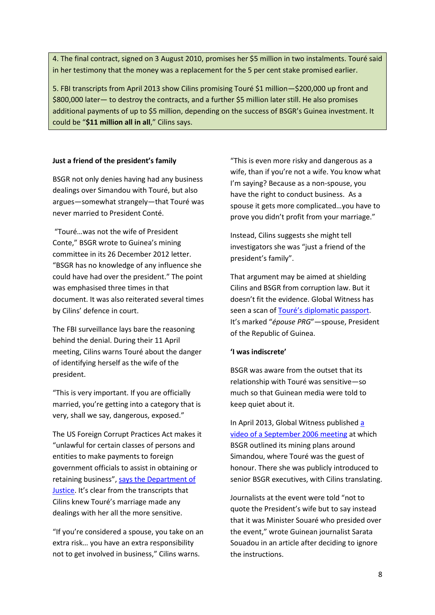4. The final contract, signed on 3 August 2010, promises her \$5 million in two instalments. Touré said in her testimony that the money was a replacement for the 5 per cent stake promised earlier.

5. FBI transcripts from April 2013 show Cilins promising Touré \$1 million—\$200,000 up front and \$800,000 later— to destroy the contracts, and a further \$5 million later still. He also promises additional payments of up to \$5 million, depending on the success of BSGR's Guinea investment. It could be "**\$11 million all in all**," Cilins says.

# **Just a friend of the president's family**

BSGR not only denies having had any business dealings over Simandou with Touré, but also argues—somewhat strangely—that Touré was never married to President Conté.

"Touré…was not the wife of President Conte," BSGR wrote to Guinea's mining committee in its 26 December 2012 letter. "BSGR has no knowledge of any influence she could have had over the president." The point was emphasised three times in that document. It was also reiterated several times by Cilins' defence in court.

The FBI surveillance lays bare the reasoning behind the denial. During their 11 April meeting, Cilins warns Touré about the danger of identifying herself as the wife of the president.

"This is very important. If you are officially married, you're getting into a category that is very, shall we say, dangerous, exposed."

The US Foreign Corrupt Practices Act makes it "unlawful for certain classes of persons and entities to make payments to foreign government officials to assist in obtaining or retaining business", [says the Department of](http://www.justice.gov/criminal/fraud/fcpa/)  [Justice](http://www.justice.gov/criminal/fraud/fcpa/). It's clear from the transcripts that Cilins knew Touré's marriage made any dealings with her all the more sensitive.

"If you're considered a spouse, you take on an extra risk… you have an extra responsibility not to get involved in business," Cilins warns.

"This is even more risky and dangerous as a wife, than if you're not a wife. You know what I'm saying? Because as a non-spouse, you have the right to conduct business. As a spouse it gets more complicated…you have to prove you didn't profit from your marriage."

Instead, Cilins suggests she might tell investigators she was "just a friend of the president's family".

That argument may be aimed at shielding Cilins and BSGR from corruption law. But it doesn't fit the evidence. Global Witness has seen a scan of [Touré's diplomatic passport](http://www.globalwitness.org/sites/default/files/library/Mamadie%20diplomatic%20passport.jpg). It's marked "*épouse PRG*"—spouse, President of the Republic of Guinea.

# **'I was indiscrete'**

BSGR was aware from the outset that its relationship with Touré was sensitive—so much so that Guinean media were told to keep quiet about it.

In April 2013, Global Witness published [a](http://www.youtube.com/watch?v=HOfNE2gZH1o)  [video of a September 2006 meeting](http://www.youtube.com/watch?v=HOfNE2gZH1o) at which BSGR outlined its mining plans around Simandou, where Touré was the guest of honour. There she was publicly introduced to senior BSGR executives, with Cilins translating.

Journalists at the event were told "not to quote the President's wife but to say instead that it was Minister Souaré who presided over the event," wrote Guinean journalist Sarata Souadou in an article after deciding to ignore the instructions.